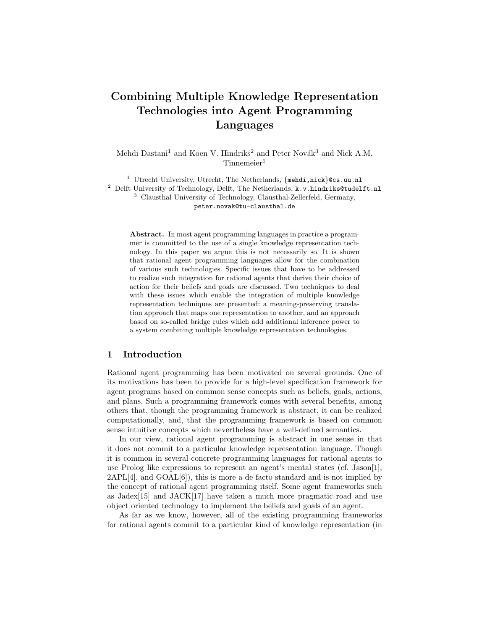# Combining Multiple Knowledge Representation Technologies into Agent Programming Languages

Mehdi Dastani<sup>1</sup> and Koen V. Hindriks<sup>2</sup> and Peter Novák<sup>3</sup> and Nick A.M.  $T$ innemeier<sup>1</sup>

<sup>1</sup> Utrecht University, Utrecht, The Netherlands, {mehdi,nick}@cs.uu.nl <sup>2</sup> Delft University of Technology, Delft, The Netherlands, k.v.hindriks@tudelft.nl <sup>3</sup> Clausthal University of Technology, Clausthal-Zellerfeld, Germany, peter.novak@tu-clausthal.de

Abstract. In most agent programming languages in practice a programmer is committed to the use of a single knowledge representation technology. In this paper we argue this is not necessarily so. It is shown that rational agent programming languages allow for the combination of various such technologies. Specific issues that have to be addressed to realize such integration for rational agents that derive their choice of action for their beliefs and goals are discussed. Two techniques to deal with these issues which enable the integration of multiple knowledge representation techniques are presented: a meaning-preserving translation approach that maps one representation to another, and an approach based on so-called bridge rules which add additional inference power to a system combining multiple knowledge representation technologies.

## 1 Introduction

Rational agent programming has been motivated on several grounds. One of its motivations has been to provide for a high-level specification framework for agent programs based on common sense concepts such as beliefs, goals, actions, and plans. Such a programming framework comes with several benefits, among others that, though the programming framework is abstract, it can be realized computationally, and, that the programming framework is based on common sense intuitive concepts which nevertheless have a well-defined semantics.

In our view, rational agent programming is abstract in one sense in that it does not commit to a particular knowledge representation language. Though it is common in several concrete programming languages for rational agents to use Prolog like expressions to represent an agent's mental states (cf. Jason[1], 2APL[4], and GOAL[6]), this is more a de facto standard and is not implied by the concept of rational agent programming itself. Some agent frameworks such as Jadex[15] and JACK[17] have taken a much more pragmatic road and use object oriented technology to implement the beliefs and goals of an agent.

As far as we know, however, all of the existing programming frameworks for rational agents commit to a particular kind of knowledge representation (in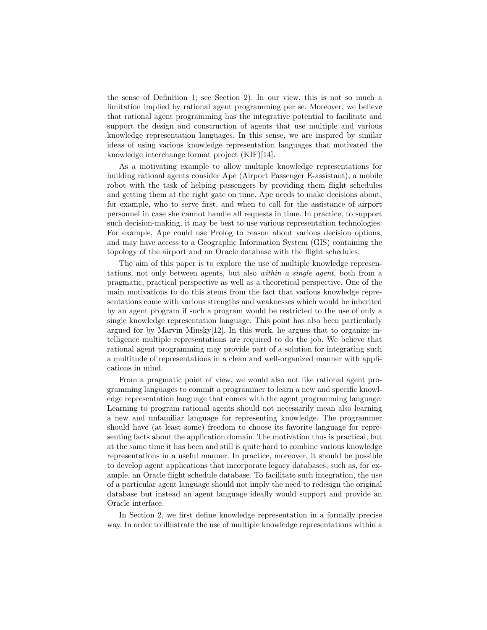the sense of Definition 1; see Section 2). In our view, this is not so much a limitation implied by rational agent programming per se. Moreover, we believe that rational agent programming has the integrative potential to facilitate and support the design and construction of agents that use multiple and various knowledge representation languages. In this sense, we are inspired by similar ideas of using various knowledge representation languages that motivated the knowledge interchange format project (KIF)[14].

As a motivating example to allow multiple knowledge representations for building rational agents consider Ape (Airport Passenger E-assistant), a mobile robot with the task of helping passengers by providing them flight schedules and getting them at the right gate on time. Ape needs to make decisions about, for example, who to serve first, and when to call for the assistance of airport personnel in case she cannot handle all requests in time. In practice, to support such decision-making, it may be best to use various representation technologies. For example, Ape could use Prolog to reason about various decision options, and may have access to a Geographic Information System (GIS) containing the topology of the airport and an Oracle database with the flight schedules.

The aim of this paper is to explore the use of multiple knowledge representations, not only between agents, but also within a single agent, both from a pragmatic, practical perspective as well as a theoretical perspective. One of the main motivations to do this stems from the fact that various knowledge representations come with various strengths and weaknesses which would be inherited by an agent program if such a program would be restricted to the use of only a single knowledge representation language. This point has also been particularly argued for by Marvin Minsky[12]. In this work, he argues that to organize intelligence multiple representations are required to do the job. We believe that rational agent programming may provide part of a solution for integrating such a multitude of representations in a clean and well-organized manner with applications in mind.

From a pragmatic point of view, we would also not like rational agent programming languages to commit a programmer to learn a new and specific knowledge representation language that comes with the agent programming language. Learning to program rational agents should not necessarily mean also learning a new and unfamiliar language for representing knowledge. The programmer should have (at least some) freedom to choose its favorite language for representing facts about the application domain. The motivation thus is practical, but at the same time it has been and still is quite hard to combine various knowledge representations in a useful manner. In practice, moreover, it should be possible to develop agent applications that incorporate legacy databases, such as, for example, an Oracle flight schedule database. To facilitate such integration, the use of a particular agent language should not imply the need to redesign the original database but instead an agent language ideally would support and provide an Oracle interface.

In Section 2, we first define knowledge representation in a formally precise way. In order to illustrate the use of multiple knowledge representations within a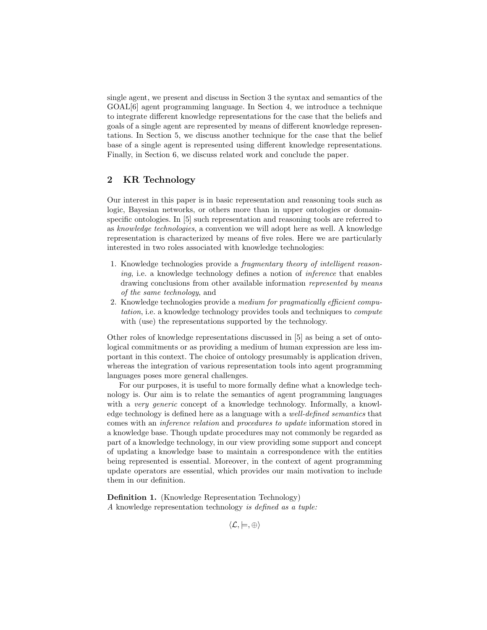single agent, we present and discuss in Section 3 the syntax and semantics of the GOAL[6] agent programming language. In Section 4, we introduce a technique to integrate different knowledge representations for the case that the beliefs and goals of a single agent are represented by means of different knowledge representations. In Section 5, we discuss another technique for the case that the belief base of a single agent is represented using different knowledge representations. Finally, in Section 6, we discuss related work and conclude the paper.

## 2 KR Technology

Our interest in this paper is in basic representation and reasoning tools such as logic, Bayesian networks, or others more than in upper ontologies or domainspecific ontologies. In [5] such representation and reasoning tools are referred to as knowledge technologies, a convention we will adopt here as well. A knowledge representation is characterized by means of five roles. Here we are particularly interested in two roles associated with knowledge technologies:

- 1. Knowledge technologies provide a fragmentary theory of intelligent reasoning, i.e. a knowledge technology defines a notion of inference that enables drawing conclusions from other available information *represented by means* of the same technology, and
- 2. Knowledge technologies provide a medium for pragmatically efficient computation, i.e. a knowledge technology provides tools and techniques to compute with (use) the representations supported by the technology.

Other roles of knowledge representations discussed in [5] as being a set of ontological commitments or as providing a medium of human expression are less important in this context. The choice of ontology presumably is application driven, whereas the integration of various representation tools into agent programming languages poses more general challenges.

For our purposes, it is useful to more formally define what a knowledge technology is. Our aim is to relate the semantics of agent programming languages with a *very generic* concept of a knowledge technology. Informally, a knowledge technology is defined here as a language with a well-defined semantics that comes with an inference relation and procedures to update information stored in a knowledge base. Though update procedures may not commonly be regarded as part of a knowledge technology, in our view providing some support and concept of updating a knowledge base to maintain a correspondence with the entities being represented is essential. Moreover, in the context of agent programming update operators are essential, which provides our main motivation to include them in our definition.

Definition 1. (Knowledge Representation Technology) A knowledge representation technology is defined as a tuple:

 $\langle \mathcal{L}, \models, \oplus \rangle$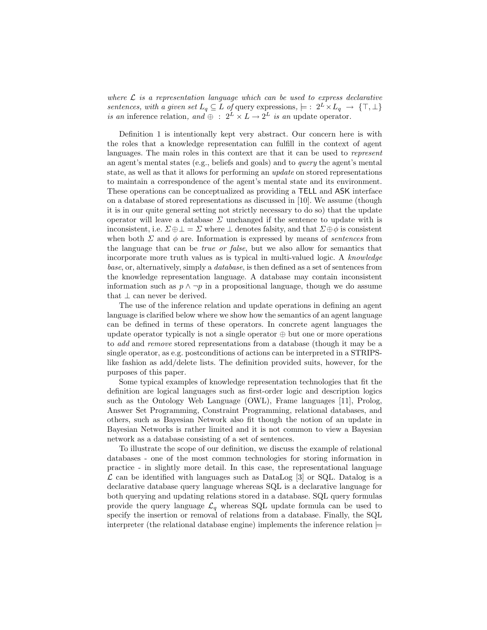where  $\mathcal L$  is a representation language which can be used to express declarative sentences, with a given set  $L_q \subseteq L$  of query expressions,  $\models : 2^L \times L_q \rightarrow \{\top, \bot\}$ is an inference relation, and  $\oplus$  :  $2^L \times L \rightarrow 2^L$  is an update operator.

Definition 1 is intentionally kept very abstract. Our concern here is with the roles that a knowledge representation can fulfill in the context of agent languages. The main roles in this context are that it can be used to represent an agent's mental states (e.g., beliefs and goals) and to query the agent's mental state, as well as that it allows for performing an update on stored representations to maintain a correspondence of the agent's mental state and its environment. These operations can be conceptualized as providing a TELL and ASK interface on a database of stored representations as discussed in [10]. We assume (though it is in our quite general setting not strictly necessary to do so) that the update operator will leave a database  $\Sigma$  unchanged if the sentence to update with is inconsistent, i.e.  $\Sigma \oplus \bot = \Sigma$  where  $\bot$  denotes falsity, and that  $\Sigma \oplus \phi$  is consistent when both  $\Sigma$  and  $\phi$  are. Information is expressed by means of *sentences* from the language that can be true or false, but we also allow for semantics that incorporate more truth values as is typical in multi-valued logic. A knowledge base, or, alternatively, simply a database, is then defined as a set of sentences from the knowledge representation language. A database may contain inconsistent information such as  $p \wedge \neg p$  in a propositional language, though we do assume that  $\perp$  can never be derived.

The use of the inference relation and update operations in defining an agent language is clarified below where we show how the semantics of an agent language can be defined in terms of these operators. In concrete agent languages the update operator typically is not a single operator  $\oplus$  but one or more operations to add and remove stored representations from a database (though it may be a single operator, as e.g. postconditions of actions can be interpreted in a STRIPSlike fashion as add/delete lists. The definition provided suits, however, for the purposes of this paper.

Some typical examples of knowledge representation technologies that fit the definition are logical languages such as first-order logic and description logics such as the Ontology Web Language (OWL), Frame languages [11], Prolog, Answer Set Programming, Constraint Programming, relational databases, and others, such as Bayesian Network also fit though the notion of an update in Bayesian Networks is rather limited and it is not common to view a Bayesian network as a database consisting of a set of sentences.

To illustrate the scope of our definition, we discuss the example of relational databases - one of the most common technologies for storing information in practice - in slightly more detail. In this case, the representational language  $\mathcal L$  can be identified with languages such as DataLog [3] or SQL. Datalog is a declarative database query language whereas SQL is a declarative language for both querying and updating relations stored in a database. SQL query formulas provide the query language  $\mathcal{L}_q$  whereas SQL update formula can be used to specify the insertion or removal of relations from a database. Finally, the SQL interpreter (the relational database engine) implements the inference relation  $\models$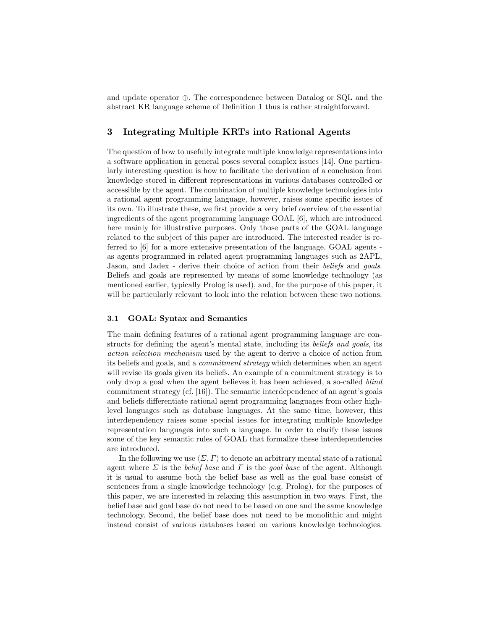and update operator ⊕. The correspondence between Datalog or SQL and the abstract KR language scheme of Definition 1 thus is rather straightforward.

## 3 Integrating Multiple KRTs into Rational Agents

The question of how to usefully integrate multiple knowledge representations into a software application in general poses several complex issues [14]. One particularly interesting question is how to facilitate the derivation of a conclusion from knowledge stored in different representations in various databases controlled or accessible by the agent. The combination of multiple knowledge technologies into a rational agent programming language, however, raises some specific issues of its own. To illustrate these, we first provide a very brief overview of the essential ingredients of the agent programming language GOAL [6], which are introduced here mainly for illustrative purposes. Only those parts of the GOAL language related to the subject of this paper are introduced. The interested reader is referred to [6] for a more extensive presentation of the language. GOAL agents as agents programmed in related agent programming languages such as 2APL, Jason, and Jadex - derive their choice of action from their *beliefs* and *goals*. Beliefs and goals are represented by means of some knowledge technology (as mentioned earlier, typically Prolog is used), and, for the purpose of this paper, it will be particularly relevant to look into the relation between these two notions.

#### 3.1 GOAL: Syntax and Semantics

The main defining features of a rational agent programming language are constructs for defining the agent's mental state, including its beliefs and goals, its action selection mechanism used by the agent to derive a choice of action from its beliefs and goals, and a commitment strategy which determines when an agent will revise its goals given its beliefs. An example of a commitment strategy is to only drop a goal when the agent believes it has been achieved, a so-called blind commitment strategy (cf. [16]). The semantic interdependence of an agent's goals and beliefs differentiate rational agent programming languages from other highlevel languages such as database languages. At the same time, however, this interdependency raises some special issues for integrating multiple knowledge representation languages into such a language. In order to clarify these issues some of the key semantic rules of GOAL that formalize these interdependencies are introduced.

In the following we use  $\langle \Sigma, \Gamma \rangle$  to denote an arbitrary mental state of a rational agent where  $\Sigma$  is the *belief base* and  $\Gamma$  is the *goal base* of the agent. Although it is usual to assume both the belief base as well as the goal base consist of sentences from a single knowledge technology (e.g. Prolog), for the purposes of this paper, we are interested in relaxing this assumption in two ways. First, the belief base and goal base do not need to be based on one and the same knowledge technology. Second, the belief base does not need to be monolithic and might instead consist of various databases based on various knowledge technologies.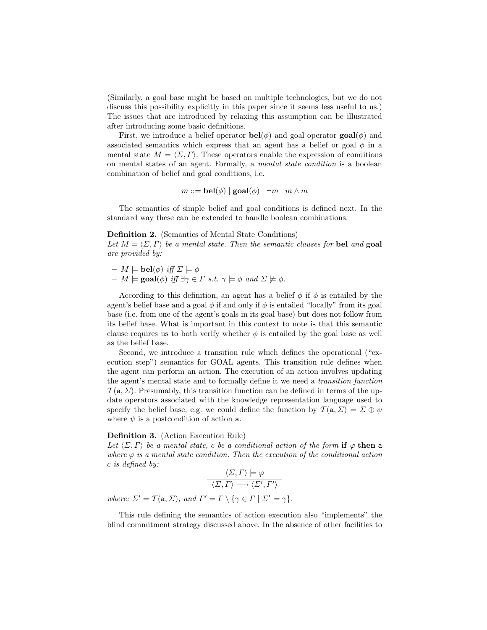(Similarly, a goal base might be based on multiple technologies, but we do not discuss this possibility explicitly in this paper since it seems less useful to us.) The issues that are introduced by relaxing this assumption can be illustrated after introducing some basic definitions.

First, we introduce a belief operator  $\text{bel}(\phi)$  and goal operator  $\text{goal}(\phi)$  and associated semantics which express that an agent has a belief or goal  $\phi$  in a mental state  $M = \langle \Sigma, \Gamma \rangle$ . These operators enable the expression of conditions on mental states of an agent. Formally, a mental state condition is a boolean combination of belief and goal conditions, i.e.

$$
m ::= \mathbf{bel}(\phi) \mid \mathbf{goal}(\phi) \mid \neg m \mid m \land m
$$

The semantics of simple belief and goal conditions is defined next. In the standard way these can be extended to handle boolean combinations.

#### Definition 2. (Semantics of Mental State Conditions)

Let  $M = \langle \Sigma, \Gamma \rangle$  be a mental state. Then the semantic clauses for bel and goal are provided by:

- $M \models \text{bel}(\phi) \text{ iff } \Sigma \models \phi$
- $-I M \models \textbf{goal}(\phi) \text{ iff } \exists \gamma \in \Gamma \text{ s.t. } \gamma \models \phi \text{ and } \Sigma \not\models \phi.$

According to this definition, an agent has a belief  $\phi$  if  $\phi$  is entailed by the agent's belief base and a goal  $\phi$  if and only if  $\phi$  is entailed "locally" from its goal base (i.e. from one of the agent's goals in its goal base) but does not follow from its belief base. What is important in this context to note is that this semantic clause requires us to both verify whether  $\phi$  is entailed by the goal base as well as the belief base.

Second, we introduce a transition rule which defines the operational ("execution step") semantics for GOAL agents. This transition rule defines when the agent can perform an action. The execution of an action involves updating the agent's mental state and to formally define it we need a transition function  $\mathcal{T}(\mathbf{a}, \Sigma)$ . Presumably, this transition function can be defined in terms of the update operators associated with the knowledge representation language used to specify the belief base, e.g. we could define the function by  $T(a, \Sigma) = \Sigma \oplus \psi$ where  $\psi$  is a postcondition of action **a**.

#### Definition 3. (Action Execution Rule)

Let  $\langle \Sigma, \Gamma \rangle$  be a mental state, c be a conditional action of the form if  $\varphi$  then a where  $\varphi$  is a mental state condition. Then the execution of the conditional action c is defined by:

$$
\frac{\langle \Sigma, \Gamma \rangle \models \varphi}{\langle \Sigma, \Gamma \rangle \longrightarrow \langle \Sigma', \Gamma' \rangle}
$$

where:  $\Sigma' = \mathcal{T}(\mathbf{a}, \Sigma)$ , and  $\Gamma' = \Gamma \setminus \{ \gamma \in \Gamma \mid \Sigma' \models \gamma \}.$ 

This rule defining the semantics of action execution also "implements" the blind commitment strategy discussed above. In the absence of other facilities to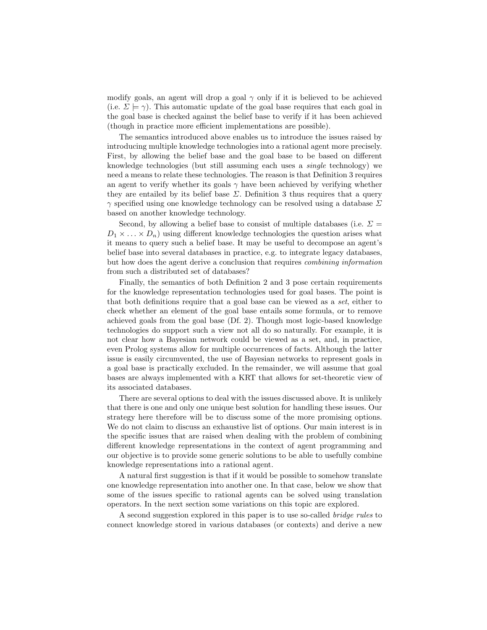modify goals, an agent will drop a goal  $\gamma$  only if it is believed to be achieved (i.e.  $\Sigma \models \gamma$ ). This automatic update of the goal base requires that each goal in the goal base is checked against the belief base to verify if it has been achieved (though in practice more efficient implementations are possible).

The semantics introduced above enables us to introduce the issues raised by introducing multiple knowledge technologies into a rational agent more precisely. First, by allowing the belief base and the goal base to be based on different knowledge technologies (but still assuming each uses a single technology) we need a means to relate these technologies. The reason is that Definition 3 requires an agent to verify whether its goals  $\gamma$  have been achieved by verifying whether they are entailed by its belief base  $\Sigma$ . Definition 3 thus requires that a query  $\gamma$  specified using one knowledge technology can be resolved using a database  $\Sigma$ based on another knowledge technology.

Second, by allowing a belief base to consist of multiple databases (i.e.  $\Sigma =$  $D_1 \times \ldots \times D_n$ ) using different knowledge technologies the question arises what it means to query such a belief base. It may be useful to decompose an agent's belief base into several databases in practice, e.g. to integrate legacy databases, but how does the agent derive a conclusion that requires combining information from such a distributed set of databases?

Finally, the semantics of both Definition 2 and 3 pose certain requirements for the knowledge representation technologies used for goal bases. The point is that both definitions require that a goal base can be viewed as a set, either to check whether an element of the goal base entails some formula, or to remove achieved goals from the goal base (Df. 2). Though most logic-based knowledge technologies do support such a view not all do so naturally. For example, it is not clear how a Bayesian network could be viewed as a set, and, in practice, even Prolog systems allow for multiple occurrences of facts. Although the latter issue is easily circumvented, the use of Bayesian networks to represent goals in a goal base is practically excluded. In the remainder, we will assume that goal bases are always implemented with a KRT that allows for set-theoretic view of its associated databases.

There are several options to deal with the issues discussed above. It is unlikely that there is one and only one unique best solution for handling these issues. Our strategy here therefore will be to discuss some of the more promising options. We do not claim to discuss an exhaustive list of options. Our main interest is in the specific issues that are raised when dealing with the problem of combining different knowledge representations in the context of agent programming and our objective is to provide some generic solutions to be able to usefully combine knowledge representations into a rational agent.

A natural first suggestion is that if it would be possible to somehow translate one knowledge representation into another one. In that case, below we show that some of the issues specific to rational agents can be solved using translation operators. In the next section some variations on this topic are explored.

A second suggestion explored in this paper is to use so-called bridge rules to connect knowledge stored in various databases (or contexts) and derive a new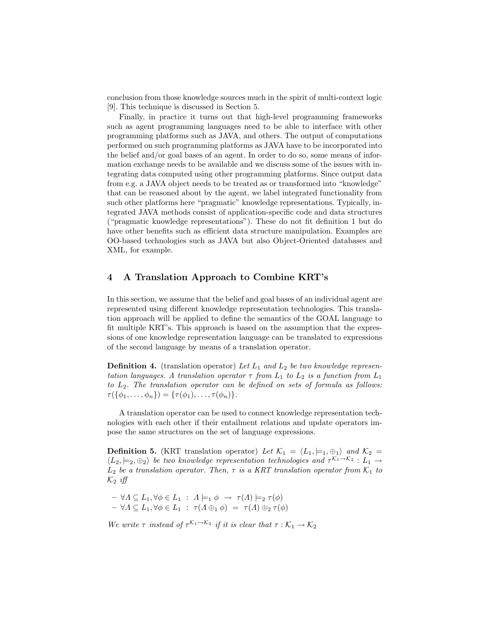conclusion from those knowledge sources much in the spirit of multi-context logic [9]. This technique is discussed in Section 5.

Finally, in practice it turns out that high-level programming frameworks such as agent programming languages need to be able to interface with other programming platforms such as JAVA, and others. The output of computations performed on such programming platforms as JAVA have to be incorporated into the belief and/or goal bases of an agent. In order to do so, some means of information exchange needs to be available and we discuss some of the issues with integrating data computed using other programming platforms. Since output data from e.g. a JAVA object needs to be treated as or transformed into "knowledge" that can be reasoned about by the agent, we label integrated functionality from such other platforms here "pragmatic" knowledge representations. Typically, integrated JAVA methods consist of application-specific code and data structures ("pragmatic knowledge representations"). These do not fit definition 1 but do have other benefits such as efficient data structure manipulation. Examples are OO-based technologies such as JAVA but also Object-Oriented databases and XML, for example.

## 4 A Translation Approach to Combine KRT's

In this section, we assume that the belief and goal bases of an individual agent are represented using different knowledge representation technologies. This translation approach will be applied to define the semantics of the GOAL language to fit multiple KRT's. This approach is based on the assumption that the expressions of one knowledge representation language can be translated to expressions of the second language by means of a translation operator.

**Definition 4.** (translation operator) Let  $L_1$  and  $L_2$  be two knowledge representation languages. A translation operator  $\tau$  from  $L_1$  to  $L_2$  is a function from  $L_1$ to  $L_2$ . The translation operator can be defined on sets of formula as follows:  $\tau(\{\phi_1,\ldots,\phi_n\}) = \{\tau(\phi_1),\ldots,\tau(\phi_n)\}.$ 

A translation operator can be used to connect knowledge representation technologies with each other if their entailment relations and update operators impose the same structures on the set of language expressions.

**Definition 5.** (KRT translation operator) Let  $\mathcal{K}_1 = \langle L_1, \models_1, \oplus_1 \rangle$  and  $\mathcal{K}_2 =$  $\langle L_2,\models_2,\oplus_2\rangle$  be two knowledge representation technologies and  $\tau^{\mathcal{K}_1\rightarrow\mathcal{K}_2}:L_1\rightarrow$  $L_2$  be a translation operator. Then,  $\tau$  is a KRT translation operator from  $\mathcal{K}_1$  to  $\mathcal{K}_2$  iff

$$
- \forall \Lambda \subseteq L_1, \forall \phi \in L_1 : \Lambda \models_1 \phi \rightarrow \tau(\Lambda) \models_2 \tau(\phi)
$$
  

$$
- \forall \Lambda \subseteq L_1, \forall \phi \in L_1 : \tau(\Lambda \oplus_1 \phi) = \tau(\Lambda) \oplus_2 \tau(\phi)
$$

We write  $\tau$  instead of  $\tau^{\mathcal{K}_1 \rightarrow \mathcal{K}_2}$  if it is clear that  $\tau : \mathcal{K}_1 \rightarrow \mathcal{K}_2$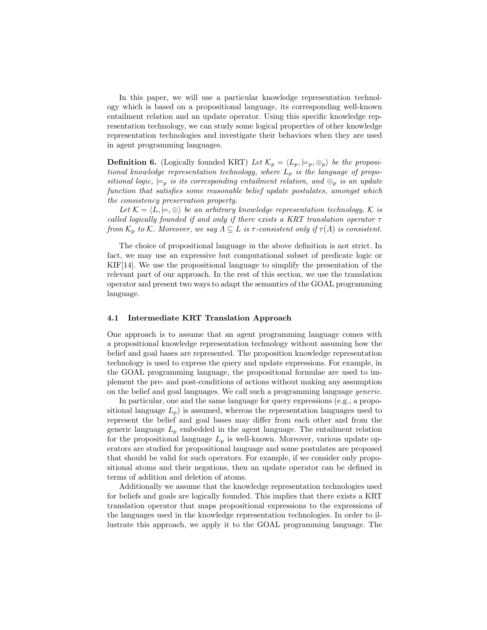In this paper, we will use a particular knowledge representation technology which is based on a propositional language, its corresponding well-known entailment relation and an update operator. Using this specific knowledge representation technology, we can study some logical properties of other knowledge representation technologies and investigate their behaviors when they are used in agent programming languages.

**Definition 6.** (Logically founded KRT) Let  $\mathcal{K}_p = \langle L_p, \models_p, \oplus_p \rangle$  be the propositional knowledge representation technology, where  $L_p$  is the language of propositional logic,  $\models_p$  is its corresponding entailment relation, and  $\oplus_p$  is an update function that satisfies some reasonable belief update postulates, amongst which the consistency preservation property.

Let  $\mathcal{K} = \langle L, \models, \oplus \rangle$  be an arbitrary knowledge representation technology. K is called logically founded if and only if there exists a KRT translation operator  $\tau$ from  $\mathcal{K}_p$  to  $\mathcal{K}$ . Moreover, we say  $\Lambda \subseteq L$  is  $\tau$ -consistent only if  $\tau(\Lambda)$  is consistent.

The choice of propositional language in the above definition is not strict. In fact, we may use an expressive but computational subset of predicate logic or KIF[14]. We use the propositional language to simplify the presentation of the relevant part of our approach. In the rest of this section, we use the translation operator and present two ways to adapt the semantics of the GOAL programming language.

#### 4.1 Intermediate KRT Translation Approach

One approach is to assume that an agent programming language comes with a propositional knowledge representation technology without assuming how the belief and goal bases are represented. The proposition knowledge representation technology is used to express the query and update expressions. For example, in the GOAL programming language, the propositional formulae are used to implement the pre- and post-conditions of actions without making any assumption on the belief and goal languages. We call such a programming language generic.

In particular, one and the same language for query expressions (e.g., a propositional language  $L_p$ ) is assumed, whereas the representation languages used to represent the belief and goal bases may differ from each other and from the generic language  $L_p$  embedded in the agent language. The entailment relation for the propositional language  $L_p$  is well-known. Moreover, various update operators are studied for propositional language and some postulates are proposed that should be valid for such operators. For example, if we consider only propositional atoms and their negations, then an update operator can be defined in terms of addition and deletion of atoms.

Additionally we assume that the knowledge representation technologies used for beliefs and goals are logically founded. This implies that there exists a KRT translation operator that maps propositional expressions to the expressions of the languages used in the knowledge representation technologies. In order to illustrate this approach, we apply it to the GOAL programming language. The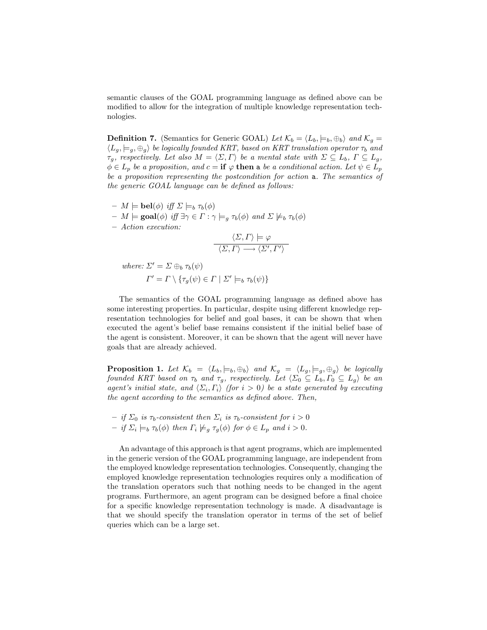semantic clauses of the GOAL programming language as defined above can be modified to allow for the integration of multiple knowledge representation technologies.

**Definition 7.** (Semantics for Generic GOAL) Let  $\mathcal{K}_b = \langle L_b, \models_b, \oplus_b \rangle$  and  $\mathcal{K}_g =$  $\langle L_q, \models_q, \oplus_q \rangle$  be logically founded KRT, based on KRT translation operator  $\tau_b$  and  $\tau_q$ , respectively. Let also  $M = \langle \Sigma, \Gamma \rangle$  be a mental state with  $\Sigma \subseteq L_b$ ,  $\Gamma \subseteq L_q$ ,  $\phi \in L_p$  be a proposition, and  $c = \textbf{if } \varphi \textbf{ then } \mathbf{a}$  be a conditional action. Let  $\psi \in L_p$ be a proposition representing the postcondition for action a. The semantics of the generic GOAL language can be defined as follows:

 $- M \models \text{bel}(\phi) \text{ iff } \Sigma \models_b \tau_b(\phi)$  $-I M \models \text{goal}(\phi)$  iff  $\exists \gamma \in \Gamma : \gamma \models_a \tau_b(\phi)$  and  $\Sigma \not\models_b \tau_b(\phi)$ – Action execution:

$$
\langle \Sigma, \Gamma \rangle \models \varphi
$$

$$
\langle \Sigma, \Gamma \rangle \longrightarrow \langle \Sigma', \Gamma' \rangle
$$

where:  $\Sigma' = \Sigma \oplus_b \tau_b(\psi)$  $\Gamma' = \Gamma \setminus \{ \tau_g(\psi) \in \Gamma \mid \Sigma' \models_b \tau_b(\psi) \}$ 

The semantics of the GOAL programming language as defined above has some interesting properties. In particular, despite using different knowledge representation technologies for belief and goal bases, it can be shown that when executed the agent's belief base remains consistent if the initial belief base of the agent is consistent. Moreover, it can be shown that the agent will never have goals that are already achieved.

**Proposition 1.** Let  $\mathcal{K}_b = \langle L_b, \models_b, \oplus_b \rangle$  and  $\mathcal{K}_g = \langle L_g, \models_g, \oplus_g \rangle$  be logically founded KRT based on  $\tau_b$  and  $\tau_q$ , respectively. Let  $\langle \Sigma_0 \subseteq L_b, \Gamma_0 \subseteq L_q \rangle$  be an agent's initial state, and  $\langle \Sigma_i, \Gamma_i \rangle$  (for  $i > 0$ ) be a state generated by executing the agent according to the semantics as defined above. Then,

 $-$  if  $\Sigma_0$  is  $\tau_b$ -consistent then  $\Sigma_i$  is  $\tau_b$ -consistent for  $i > 0$  $-$  if  $\Sigma_i \models_b \tau_b(\phi)$  then  $\Gamma_i \not\models_g \tau_g(\phi)$  for  $\phi \in L_p$  and  $i > 0$ .

An advantage of this approach is that agent programs, which are implemented in the generic version of the GOAL programming language, are independent from the employed knowledge representation technologies. Consequently, changing the employed knowledge representation technologies requires only a modification of the translation operators such that nothing needs to be changed in the agent programs. Furthermore, an agent program can be designed before a final choice for a specific knowledge representation technology is made. A disadvantage is that we should specify the translation operator in terms of the set of belief queries which can be a large set.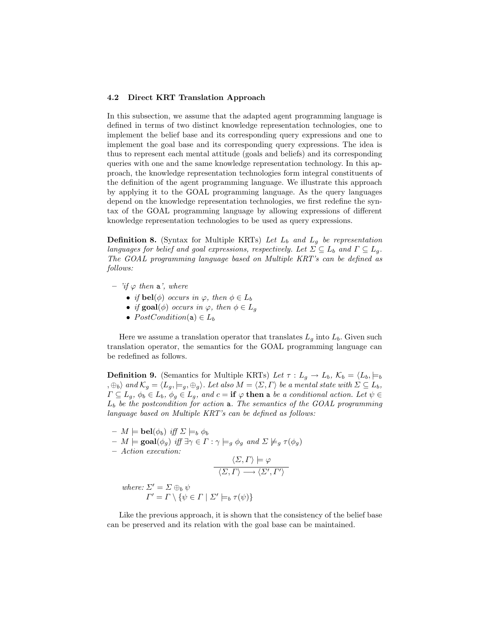#### 4.2 Direct KRT Translation Approach

In this subsection, we assume that the adapted agent programming language is defined in terms of two distinct knowledge representation technologies, one to implement the belief base and its corresponding query expressions and one to implement the goal base and its corresponding query expressions. The idea is thus to represent each mental attitude (goals and beliefs) and its corresponding queries with one and the same knowledge representation technology. In this approach, the knowledge representation technologies form integral constituents of the definition of the agent programming language. We illustrate this approach by applying it to the GOAL programming language. As the query languages depend on the knowledge representation technologies, we first redefine the syntax of the GOAL programming language by allowing expressions of different knowledge representation technologies to be used as query expressions.

**Definition 8.** (Syntax for Multiple KRTs) Let  $L_b$  and  $L_g$  be representation languages for belief and goal expressions, respectively. Let  $\Sigma \subseteq L_b$  and  $\Gamma \subseteq L_g$ . The GOAL programming language based on Multiple KRT's can be defined as follows:

- $-$  'if  $\varphi$  then **a**', where
	- if  $\text{bel}(\phi)$  occurs in  $\varphi$ , then  $\phi \in L_b$
	- if  $\text{goal}(\phi)$  occurs in  $\varphi$ , then  $\phi \in L_q$
	- PostCondition(a)  $\in L_b$

Here we assume a translation operator that translates  $L_q$  into  $L_b$ . Given such translation operator, the semantics for the GOAL programming language can be redefined as follows.

**Definition 9.** (Semantics for Multiple KRTs) Let  $\tau : L_g \to L_b$ ,  $\mathcal{K}_b = \langle L_b, \models_b]$  $\langle A_{\bar{b}}, \oplus_{\bar{b}} \rangle$  and  $\mathcal{K}_g = \langle L_g, \models_g, \oplus_g \rangle$ . Let also  $M = \langle \Sigma, \Gamma \rangle$  be a mental state with  $\Sigma \subseteq L_b$ ,  $\Gamma \subseteq L_g$ ,  $\phi_b \in L_b$ ,  $\phi_g \in L_g$ , and  $c = \textbf{if } \varphi \textbf{ then a }$  be a conditional action. Let  $\psi \in L_g$  $L<sub>b</sub>$  be the postcondition for action  $\alpha$ . The semantics of the GOAL programming language based on Multiple KRT's can be defined as follows:

 $- M \models \text{bel}(\phi_b) \text{ iff } \Sigma \models_b \phi_b$  $- M \models \textbf{goal}(\phi_q) \text{ iff } \exists \gamma \in \Gamma : \gamma \models_q \phi_q \text{ and } \Sigma \not\models_q \tau(\phi_q)$ – Action execution:  $\langle \Sigma, \Gamma \rangle \models \varphi$ 

$$
\overline{\langle \Sigma, \Gamma \rangle \longrightarrow \langle \Sigma', \Gamma' \rangle}
$$

where:  $\Sigma' = \Sigma \oplus_b \psi$  $\Gamma' = \Gamma \setminus \{ \psi \in \Gamma \mid \Sigma' \models_b \tau(\psi) \}$ 

Like the previous approach, it is shown that the consistency of the belief base can be preserved and its relation with the goal base can be maintained.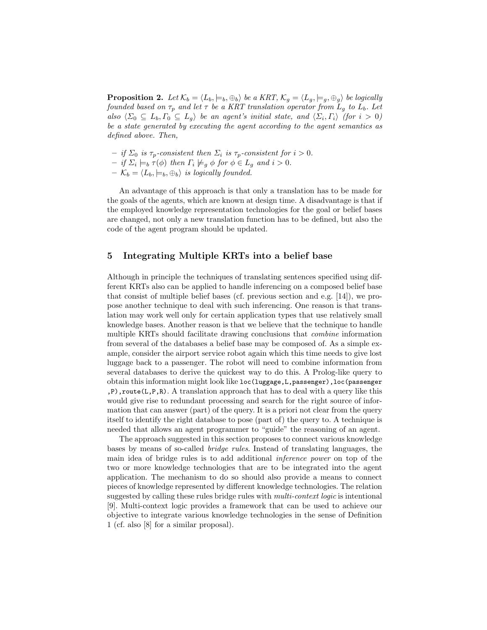**Proposition 2.** Let  $\mathcal{K}_b = \langle L_b, \models_b, \oplus_b \rangle$  be a KRT,  $\mathcal{K}_g = \langle L_g, \models_g, \oplus_g \rangle$  be logically founded based on  $\tau_p$  and let  $\tau$  be a KRT translation operator from  $L_g$  to  $L_b$ . Let also  $\langle \Sigma_0 \subseteq L_b, \Gamma_0 \subseteq L_g \rangle$  be an agent's initial state, and  $\langle \Sigma_i, \Gamma_i \rangle$  (for  $i > 0$ ) be a state generated by executing the agent according to the agent semantics as defined above. Then,

- if  $\Sigma_0$  is  $\tau_p$ -consistent then  $\Sigma_i$  is  $\tau_p$ -consistent for  $i > 0$ .
- $-$  if  $\Sigma_i \models_b \tau(\phi)$  then  $\Gamma_i \not\models_g \phi$  for  $\phi \in L_g$  and  $i > 0$ .
- $-\mathcal{K}_b = \langle L_b, \models_b, \oplus_b \rangle$  is logically founded.

An advantage of this approach is that only a translation has to be made for the goals of the agents, which are known at design time. A disadvantage is that if the employed knowledge representation technologies for the goal or belief bases are changed, not only a new translation function has to be defined, but also the code of the agent program should be updated.

## 5 Integrating Multiple KRTs into a belief base

Although in principle the techniques of translating sentences specified using different KRTs also can be applied to handle inferencing on a composed belief base that consist of multiple belief bases (cf. previous section and e.g. [14]), we propose another technique to deal with such inferencing. One reason is that translation may work well only for certain application types that use relatively small knowledge bases. Another reason is that we believe that the technique to handle multiple KRTs should facilitate drawing conclusions that combine information from several of the databases a belief base may be composed of. As a simple example, consider the airport service robot again which this time needs to give lost luggage back to a passenger. The robot will need to combine information from several databases to derive the quickest way to do this. A Prolog-like query to obtain this information might look like loc(luggage,L,passenger),loc(passenger ,P),route(L,P,R). A translation approach that has to deal with a query like this would give rise to redundant processing and search for the right source of information that can answer (part) of the query. It is a priori not clear from the query itself to identify the right database to pose (part of) the query to. A technique is needed that allows an agent programmer to "guide" the reasoning of an agent.

The approach suggested in this section proposes to connect various knowledge bases by means of so-called bridge rules. Instead of translating languages, the main idea of bridge rules is to add additional inference power on top of the two or more knowledge technologies that are to be integrated into the agent application. The mechanism to do so should also provide a means to connect pieces of knowledge represented by different knowledge technologies. The relation suggested by calling these rules bridge rules with multi-context logic is intentional [9]. Multi-context logic provides a framework that can be used to achieve our objective to integrate various knowledge technologies in the sense of Definition 1 (cf. also [8] for a similar proposal).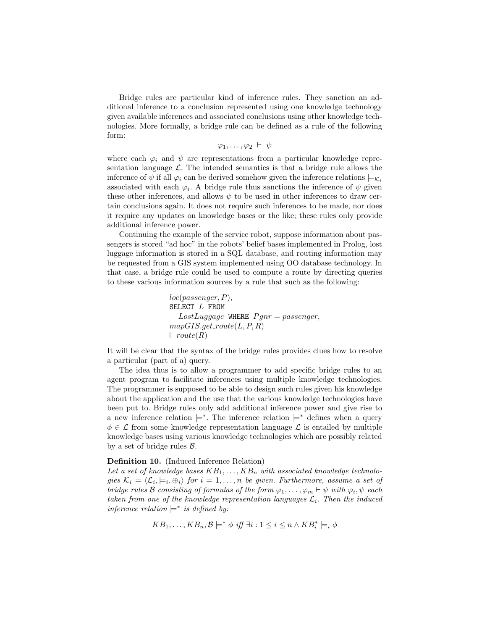Bridge rules are particular kind of inference rules. They sanction an additional inference to a conclusion represented using one knowledge technology given available inferences and associated conclusions using other knowledge technologies. More formally, a bridge rule can be defined as a rule of the following form:

$$
\varphi_1,\ldots,\varphi_2 \vdash \psi
$$

where each  $\varphi_i$  and  $\psi$  are representations from a particular knowledge representation language  $\mathcal{L}$ . The intended semantics is that a bridge rule allows the inference of  $\psi$  if all  $\varphi_i$  can be derived somehow given the inference relations  $\models_{\mathcal{K}_i}$ associated with each  $\varphi_i$ . A bridge rule thus sanctions the inference of  $\psi$  given these other inferences, and allows  $\psi$  to be used in other inferences to draw certain conclusions again. It does not require such inferences to be made, nor does it require any updates on knowledge bases or the like; these rules only provide additional inference power.

Continuing the example of the service robot, suppose information about passengers is stored "ad hoc" in the robots' belief bases implemented in Prolog, lost luggage information is stored in a SQL database, and routing information may be requested from a GIS system implemented using OO database technology. In that case, a bridge rule could be used to compute a route by directing queries to these various information sources by a rule that such as the following:

$$
loc(passenger, P),
$$
  
SELECT *L* FROM  
*lostLuggage* WHERE *Pgnr* = passenger,  

$$
mapGIS.get\_route(L, P, R)
$$
  

$$
\vdash route(R)
$$

It will be clear that the syntax of the bridge rules provides clues how to resolve a particular (part of a) query.

The idea thus is to allow a programmer to add specific bridge rules to an agent program to facilitate inferences using multiple knowledge technologies. The programmer is supposed to be able to design such rules given his knowledge about the application and the use that the various knowledge technologies have been put to. Bridge rules only add additional inference power and give rise to a new inference relation  $\models^*$ . The inference relation  $\models^*$  defines when a query  $\phi \in \mathcal{L}$  from some knowledge representation language  $\mathcal{L}$  is entailed by multiple knowledge bases using various knowledge technologies which are possibly related by a set of bridge rules B.

#### Definition 10. (Induced Inference Relation)

Let a set of knowledge bases  $KB_1, \ldots, KB_n$  with associated knowledge technologies  $\mathcal{K}_i = \langle \mathcal{L}_i, \models_i, \oplus_i \rangle$  for  $i = 1, \ldots, n$  be given. Furthermore, assume a set of bridge rules B consisting of formulas of the form  $\varphi_1, \ldots, \varphi_m \vdash \psi$  with  $\varphi_i, \psi$  each taken from one of the knowledge representation languages  $\mathcal{L}_i$ . Then the induced inference relation  $\models^*$  is defined by:

$$
KB_1, \ldots, KB_n, \mathcal{B} \models^* \phi \text{ iff } \exists i : 1 \leq i \leq n \land KB_i^* \models_i \phi
$$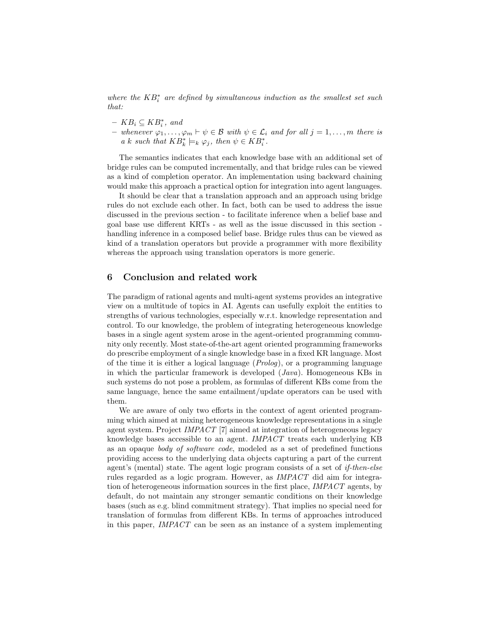where the  $KB^*_i$  are defined by simultaneous induction as the smallest set such that:

- $KB_i \subseteq KB_i^*$ , and
- whenever  $\varphi_1, \ldots, \varphi_m \vdash \psi \in \mathcal{B}$  with  $\psi \in \mathcal{L}_i$  and for all  $j = 1, \ldots, m$  there is a k such that  $KB_k^* \models_k \varphi_j$ , then  $\psi \in KB_i^*$ .

The semantics indicates that each knowledge base with an additional set of bridge rules can be computed incrementally, and that bridge rules can be viewed as a kind of completion operator. An implementation using backward chaining would make this approach a practical option for integration into agent languages.

It should be clear that a translation approach and an approach using bridge rules do not exclude each other. In fact, both can be used to address the issue discussed in the previous section - to facilitate inference when a belief base and goal base use different KRTs - as well as the issue discussed in this section handling inference in a composed belief base. Bridge rules thus can be viewed as kind of a translation operators but provide a programmer with more flexibility whereas the approach using translation operators is more generic.

## 6 Conclusion and related work

The paradigm of rational agents and multi-agent systems provides an integrative view on a multitude of topics in AI. Agents can usefully exploit the entities to strengths of various technologies, especially w.r.t. knowledge representation and control. To our knowledge, the problem of integrating heterogeneous knowledge bases in a single agent system arose in the agent-oriented programming community only recently. Most state-of-the-art agent oriented programming frameworks do prescribe employment of a single knowledge base in a fixed KR language. Most of the time it is either a logical language  $(Prolog)$ , or a programming language in which the particular framework is developed (Java). Homogeneous KBs in such systems do not pose a problem, as formulas of different KBs come from the same language, hence the same entailment/update operators can be used with them.

We are aware of only two efforts in the context of agent oriented programming which aimed at mixing heterogeneous knowledge representations in a single agent system. Project IMPACT [7] aimed at integration of heterogeneous legacy knowledge bases accessible to an agent. IMPACT treats each underlying KB as an opaque body of software code, modeled as a set of predefined functions providing access to the underlying data objects capturing a part of the current agent's (mental) state. The agent logic program consists of a set of if-then-else rules regarded as a logic program. However, as IMPACT did aim for integration of heterogeneous information sources in the first place, IMPACT agents, by default, do not maintain any stronger semantic conditions on their knowledge bases (such as e.g. blind commitment strategy). That implies no special need for translation of formulas from different KBs. In terms of approaches introduced in this paper, IMPACT can be seen as an instance of a system implementing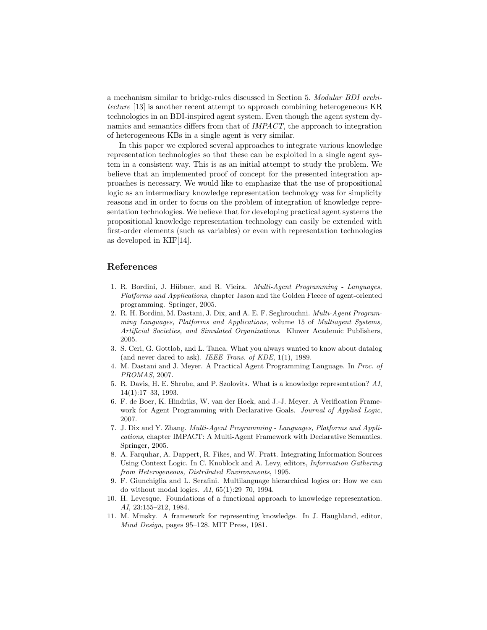a mechanism similar to bridge-rules discussed in Section 5. Modular BDI architecture [13] is another recent attempt to approach combining heterogeneous KR technologies in an BDI-inspired agent system. Even though the agent system dynamics and semantics differs from that of IMPACT, the approach to integration of heterogeneous KBs in a single agent is very similar.

In this paper we explored several approaches to integrate various knowledge representation technologies so that these can be exploited in a single agent system in a consistent way. This is as an initial attempt to study the problem. We believe that an implemented proof of concept for the presented integration approaches is necessary. We would like to emphasize that the use of propositional logic as an intermediary knowledge representation technology was for simplicity reasons and in order to focus on the problem of integration of knowledge representation technologies. We believe that for developing practical agent systems the propositional knowledge representation technology can easily be extended with first-order elements (such as variables) or even with representation technologies as developed in KIF[14].

## References

- 1. R. Bordini, J. Hübner, and R. Vieira. *Multi-Agent Programming Languages*, Platforms and Applications, chapter Jason and the Golden Fleece of agent-oriented programming. Springer, 2005.
- 2. R. H. Bordini, M. Dastani, J. Dix, and A. E. F. Seghrouchni. Multi-Agent Programming Languages, Platforms and Applications, volume 15 of Multiagent Systems, Artificial Societies, and Simulated Organizations. Kluwer Academic Publishers, 2005.
- 3. S. Ceri, G. Gottlob, and L. Tanca. What you always wanted to know about datalog (and never dared to ask). IEEE Trans. of  $KDE$ , 1(1), 1989.
- 4. M. Dastani and J. Meyer. A Practical Agent Programming Language. In Proc. of PROMAS, 2007.
- 5. R. Davis, H. E. Shrobe, and P. Szolovits. What is a knowledge representation? AI, 14(1):17–33, 1993.
- 6. F. de Boer, K. Hindriks, W. van der Hoek, and J.-J. Meyer. A Verification Framework for Agent Programming with Declarative Goals. Journal of Applied Logic, 2007.
- 7. J. Dix and Y. Zhang. Multi-Agent Programming Languages, Platforms and Applications, chapter IMPACT: A Multi-Agent Framework with Declarative Semantics. Springer, 2005.
- 8. A. Farquhar, A. Dappert, R. Fikes, and W. Pratt. Integrating Information Sources Using Context Logic. In C. Knoblock and A. Levy, editors, Information Gathering from Heterogeneous, Distributed Environments, 1995.
- 9. F. Giunchiglia and L. Serafini. Multilanguage hierarchical logics or: How we can do without modal logics. AI, 65(1):29–70, 1994.
- 10. H. Levesque. Foundations of a functional approach to knowledge representation. AI, 23:155–212, 1984.
- 11. M. Minsky. A framework for representing knowledge. In J. Haughland, editor, Mind Design, pages 95–128. MIT Press, 1981.